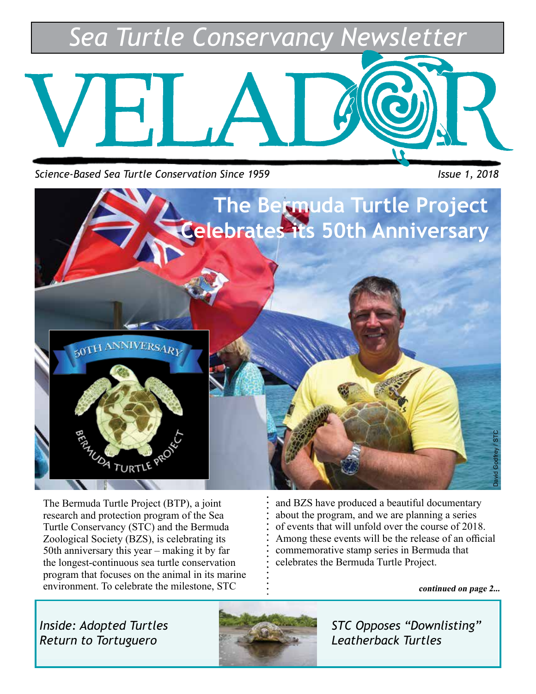*Sea Turtle Conservancy Newsletter*



*Science-Based Sea Turtle Conservation Since 1959* Intervalse and the Issue 1, 2018



The Bermuda Turtle Project (BTP), a joint research and protection program of the Sea Turtle Conservancy (STC) and the Bermuda Zoological Society (BZS), is celebrating its 50th anniversary this year – making it by far the longest-continuous sea turtle conservation program that focuses on the animal in its marine environment. To celebrate the milestone, STC

and BZS have produced a beautiful documentary about the program, and we are planning a series of events that will unfold over the course of 2018. Among these events will be the release of an official commemorative stamp series in Bermuda that celebrates the Bermuda Turtle Project.

**continued on page 2...**

*Inside: Adopted Turtles Return to Tortuguero* 



*STC Opposes "Downlisting" Leatherback Turtles*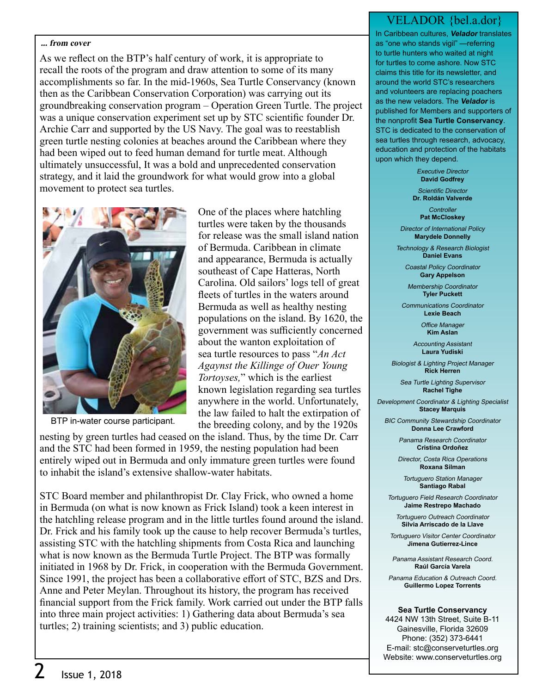### **... from cover**

As we reflect on the BTP's half century of work, it is appropriate to recall the roots of the program and draw attention to some of its many accomplishments so far. In the mid-1960s, Sea Turtle Conservancy (known then as the Caribbean Conservation Corporation) was carrying out its groundbreaking conservation program – Operation Green Turtle. The project was a unique conservation experiment set up by STC scientific founder Dr. Archie Carr and supported by the US Navy. The goal was to reestablish green turtle nesting colonies at beaches around the Caribbean where they had been wiped out to feed human demand for turtle meat. Although ultimately unsuccessful, It was a bold and unprecedented conservation strategy, and it laid the groundwork for what would grow into a global movement to protect sea turtles.



BTP in-water course participant.

One of the places where hatchling turtles were taken by the thousands for release was the small island nation of Bermuda. Caribbean in climate and appearance, Bermuda is actually southeast of Cape Hatteras, North Carolina. Old sailors' logs tell of great fleets of turtles in the waters around Bermuda as well as healthy nesting populations on the island. By 1620, the government was sufficiently concerned about the wanton exploitation of sea turtle resources to pass "*An Act Agaynst the Killinge of Ouer Young Tortoyses,*" which is the earliest known legislation regarding sea turtles anywhere in the world. Unfortunately, the law failed to halt the extirpation of the breeding colony, and by the 1920s

nesting by green turtles had ceased on the island. Thus, by the time Dr. Carr and the STC had been formed in 1959, the nesting population had been entirely wiped out in Bermuda and only immature green turtles were found to inhabit the island's extensive shallow-water habitats.

STC Board member and philanthropist Dr. Clay Frick, who owned a home in Bermuda (on what is now known as Frick Island) took a keen interest in the hatchling release program and in the little turtles found around the island. Dr. Frick and his family took up the cause to help recover Bermuda's turtles, assisting STC with the hatchling shipments from Costa Rica and launching what is now known as the Bermuda Turtle Project. The BTP was formally initiated in 1968 by Dr. Frick, in cooperation with the Bermuda Government. Since 1991, the project has been a collaborative effort of STC, BZS and Drs. Anne and Peter Meylan. Throughout its history, the program has received financial support from the Frick family. Work carried out under the BTP falls into three main project activities: 1) Gathering data about Bermuda's sea turtles; 2) training scientists; and 3) public education.

### VELADOR {bel.a.dor}

In Caribbean cultures, **Velador** translates as "one who stands vigil" —referring to turtle hunters who waited at night for turtles to come ashore. Now STC claims this title for its newsletter, and around the world STC's researchers and volunteers are replacing poachers as the new veladors. The **Velador** is published for Members and supporters of the nonprofit **Sea Turtle Conservancy**. STC is dedicated to the conservation of sea turtles through research, advocacy, education and protection of the habitats upon which they depend.

> Executive Director **David Godfrey**

Scientific Director **Dr. Roldán Valverde**

> **Controller Pat McCloskey**

Director of International Policy **Marydele Donnelly**

Technology & Research Biologist **Daniel Evans**

Coastal Policy Coordinator **Gary Appelson**

Membership Coordinator **Tyler Puckett**

Communications Coordinator **Lexie Beach**

> Office Manager **Kim Aslan**

Accounting Assistant **Laura Yudiski**

Biologist & Lighting Project Manager **Rick Herren**

Sea Turtle Lighting Supervisor **Rachel Tighe**

Development Coordinator & Lighting Specialist **Stacey Marquis**

BIC Community Stewardship Coordinator **Donna Lee Crawford**

> Panama Research Coordinator **Cristina Ordoñez**

Director, Costa Rica Operations **Roxana Silman**

Tortuguero Station Manager **Santiago Rabal**

Tortuguero Field Research Coordinator **Jaime Restrepo Machado**

Tortuguero Outreach Coordinator **Silvia Arriscado de la Llave**

Tortuguero Visitor Center Coordinator **Jimena Gutierrez-Lince**

Panama Assistant Research Coord. **Raúl García Varela**

Panama Education & Outreach Coord. **Guillermo Lopez Torrents**

**Sea Turtle Conservancy** 4424 NW 13th Street, Suite B-11 Gainesville, Florida 32609

Phone: (352) 373-6441 E-mail: stc@conserveturtles.org Website: www.conserveturtles.org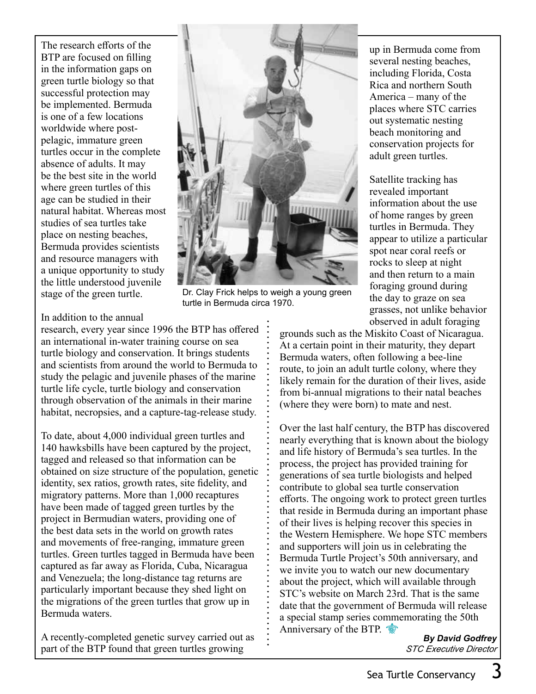The research efforts of the BTP are focused on filling in the information gaps on green turtle biology so that successful protection may be implemented. Bermuda is one of a few locations worldwide where postpelagic, immature green turtles occur in the complete absence of adults. It may be the best site in the world where green turtles of this age can be studied in their natural habitat. Whereas most studies of sea turtles take place on nesting beaches, Bermuda provides scientists and resource managers with a unique opportunity to study the little understood juvenile stage of the green turtle.



Dr. Clay Frick helps to weigh a young green turtle in Bermuda circa 1970.

In addition to the annual

research, every year since 1996 the BTP has offered an international in-water training course on sea turtle biology and conservation. It brings students and scientists from around the world to Bermuda to study the pelagic and juvenile phases of the marine turtle life cycle, turtle biology and conservation through observation of the animals in their marine habitat, necropsies, and a capture-tag-release study.

To date, about 4,000 individual green turtles and 140 hawksbills have been captured by the project, tagged and released so that information can be obtained on size structure of the population, genetic identity, sex ratios, growth rates, site fidelity, and migratory patterns. More than 1,000 recaptures have been made of tagged green turtles by the project in Bermudian waters, providing one of the best data sets in the world on growth rates and movements of free-ranging, immature green turtles. Green turtles tagged in Bermuda have been captured as far away as Florida, Cuba, Nicaragua and Venezuela; the long-distance tag returns are particularly important because they shed light on the migrations of the green turtles that grow up in Bermuda waters.

A recently-completed genetic survey carried out as part of the BTP found that green turtles growing

up in Bermuda come from several nesting beaches, including Florida, Costa Rica and northern South America – many of the places where STC carries out systematic nesting beach monitoring and conservation projects for adult green turtles.

Satellite tracking has revealed important information about the use of home ranges by green turtles in Bermuda. They appear to utilize a particular spot near coral reefs or rocks to sleep at night and then return to a main foraging ground during the day to graze on sea grasses, not unlike behavior observed in adult foraging

grounds such as the Miskito Coast of Nicaragua. At a certain point in their maturity, they depart Bermuda waters, often following a bee-line route, to join an adult turtle colony, where they likely remain for the duration of their lives, aside from bi-annual migrations to their natal beaches (where they were born) to mate and nest.

Over the last half century, the BTP has discovered nearly everything that is known about the biology and life history of Bermuda's sea turtles. In the process, the project has provided training for generations of sea turtle biologists and helped contribute to global sea turtle conservation efforts. The ongoing work to protect green turtles that reside in Bermuda during an important phase of their lives is helping recover this species in the Western Hemisphere. We hope STC members and supporters will join us in celebrating the Bermuda Turtle Project's 50th anniversary, and we invite you to watch our new documentary about the project, which will available through STC's website on March 23rd. That is the same date that the government of Bermuda will release a special stamp series commemorating the 50th Anniversary of the BTP.

**By David Godfrey** *STC Executive Director*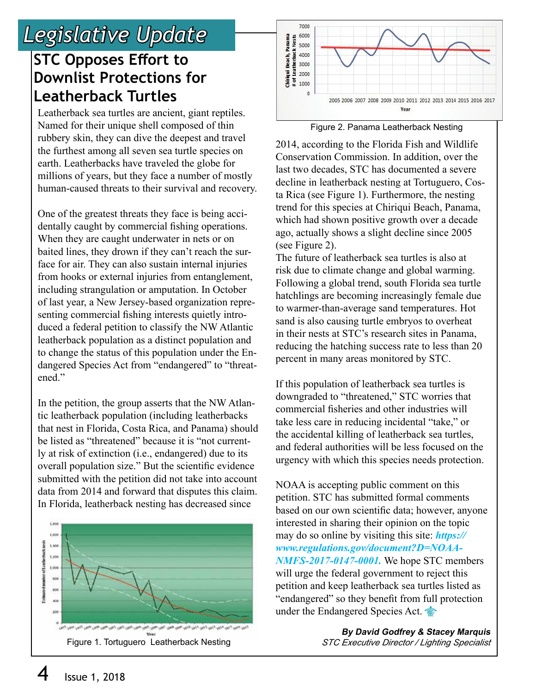## *Legislative Update*

## **STC Opposes Effort to Downlist Protections for Leatherback Turtles**

 Named for their unique shell composed of thin the furthest among all seven sea turtle species on millions of years, but they face a number of mostly Leatherback sea turtles are ancient, giant reptiles. rubbery skin, they can dive the deepest and travel earth. Leatherbacks have traveled the globe for human-caused threats to their survival and recovery.

One of the greatest threats they face is being accidentally caught by commercial fishing operations. When they are caught underwater in nets or on baited lines, they drown if they can't reach the surface for air. They can also sustain internal injuries from hooks or external injuries from entanglement, including strangulation or amputation. In October of last year, a New Jersey-based organization representing commercial fishing interests quietly introduced a federal petition to classify the NW Atlantic leatherback population as a distinct population and to change the status of this population under the Endangered Species Act from "endangered" to "threatened."

In the petition, the group asserts that the NW Atlantic leatherback population (including leatherbacks that nest in Florida, Costa Rica, and Panama) should be listed as "threatened" because it is "not currently at risk of extinction (i.e., endangered) due to its overall population size." But the scientific evidence submitted with the petition did not take into account data from 2014 and forward that disputes this claim. In Florida, leatherback nesting has decreased since





Figure 2. Panama Leatherback Nesting

2014, according to the Florida Fish and Wildlife Conservation Commission. In addition, over the last two decades, STC has documented a severe decline in leatherback nesting at Tortuguero, Costa Rica (see Figure 1). Furthermore, the nesting trend for this species at Chiriqui Beach, Panama, which had shown positive growth over a decade ago, actually shows a slight decline since 2005 (see Figure 2).

The future of leatherback sea turtles is also at risk due to climate change and global warming. Following a global trend, south Florida sea turtle hatchlings are becoming increasingly female due to warmer-than-average sand temperatures. Hot sand is also causing turtle embryos to overheat in their nests at STC's research sites in Panama, reducing the hatching success rate to less than 20 percent in many areas monitored by STC.

If this population of leatherback sea turtles is downgraded to "threatened," STC worries that commercial fisheries and other industries will take less care in reducing incidental "take," or the accidental killing of leatherback sea turtles, and federal authorities will be less focused on the urgency with which this species needs protection.

NOAA is accepting public comment on this petition. STC has submitted formal comments based on our own scientific data; however, anyone interested in sharing their opinion on the topic may do so online by visiting this site: *https:// www.regulations.gov/document?D=NOAA-NMFS-2017-0147-0001.* We hope STC members will urge the federal government to reject this petition and keep leatherback sea turtles listed as "endangered" so they benefit from full protection under the Endangered Species Act.

**By David Godfrey & Stacey Marquis**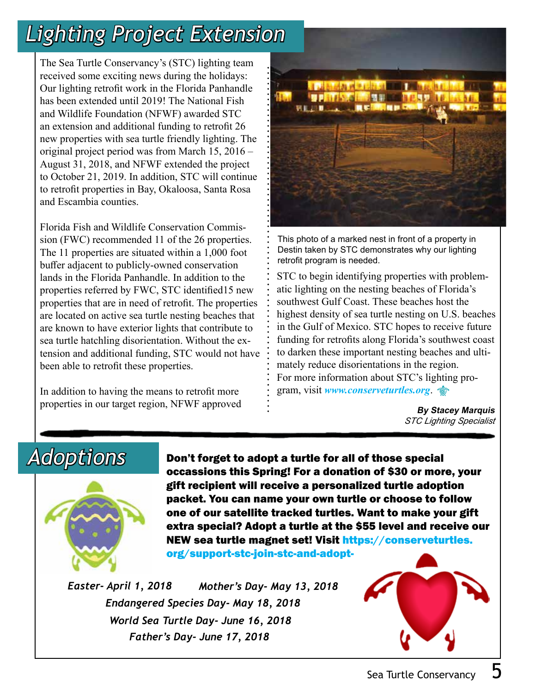# *Lighting Project Extension*

 an extension and additional funding to retrofit 26 original project period was from March 15, 2016 – to October 21, 2019. In addition, STC will continue and Escambia counties. The Sea Turtle Conservancy's (STC) lighting team received some exciting news during the holidays: Our lighting retrofit work in the Florida Panhandle has been extended until 2019! The National Fish and Wildlife Foundation (NFWF) awarded STC new properties with sea turtle friendly lighting. The August 31, 2018, and NFWF extended the project to retrofit properties in Bay, Okaloosa, Santa Rosa

Florida Fish and Wildlife Conservation Commission (FWC) recommended 11 of the 26 properties. The 11 properties are situated within a 1,000 foot buffer adjacent to publicly-owned conservation lands in the Florida Panhandle. In addition to the properties referred by FWC, STC identified15 new properties that are in need of retrofit. The properties are located on active sea turtle nesting beaches that are known to have exterior lights that contribute to sea turtle hatchling disorientation. Without the extension and additional funding, STC would not have been able to retrofit these properties.

In addition to having the means to retrofit more properties in our target region, NFWF approved  $\cdot$  **By Stacey Marquis** 



This photo of a marked nest in front of a property in Destin taken by STC demonstrates why our lighting retrofit program is needed.

STC to begin identifying properties with problematic lighting on the nesting beaches of Florida's southwest Gulf Coast. These beaches host the highest density of sea turtle nesting on U.S. beaches in the Gulf of Mexico. STC hopes to receive future funding for retrofits along Florida's southwest coast to darken these important nesting beaches and ultimately reduce disorientations in the region. For more information about STC's lighting program, visit *www.conserveturtles.org*.

*STC Lighting Specialist*



Adoptions Don't forget to adopt a turtle for all of those special occassions this Spring! For a donation of \$30 or more, your gift recipient will receive a personalized turtle adoption packet. You can name your own turtle or choose to follow one of our satellite tracked turtles. Want to make your gift extra special? Adopt a turtle at the \$55 level and receive our NEW sea turtle magnet set! Visit https://conserveturtles.

org/support-stc-join-stc-and-adopt-

*Easter- April 1, 2018 Endangered Species Day- May 18, 2018 Mother's Day- May 13, 2018 World Sea Turtle Day- June 16, 2018 Father's Day- June 17, 2018*

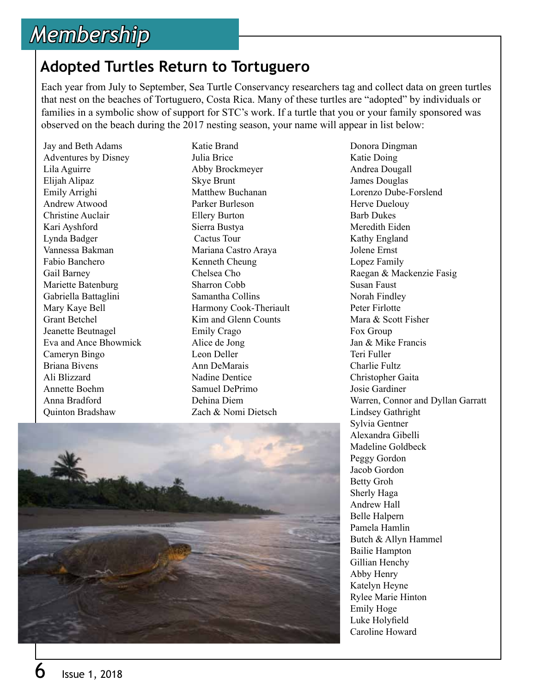## *Membership*

### **Adopted Turtles Return to Tortuguero**

Each year from July to September, Sea Turtle Conservancy researchers tag and collect data on green turtles that nest on the beaches of Tortuguero, Costa Rica. Many of these turtles are "adopted" by individuals or families in a symbolic show of support for STC's work. If a turtle that you or your family sponsored was observed on the beach during the 2017 nesting season, your name will appear in list below:

Jay and Beth Adams Adventures by Disney Lila Aguirre Elijah Alipaz Emily Arrighi Andrew Atwood Christine Auclair Kari Ayshford Lynda Badger Vannessa Bakman Fabio Banchero Gail Barney Mariette Batenburg Gabriella Battaglini Mary Kaye Bell Grant Betchel Jeanette Beutnagel Eva and Ance Bhowmick Cameryn Bingo Briana Bivens Ali Blizzard Annette Boehm Anna Bradford Quinton Bradshaw

Katie Brand Julia Brice Abby Brockmeyer Skye Brunt Matthew Buchanan Parker Burleson Ellery Burton Sierra Bustya Cactus Tour Mariana Castro Araya Kenneth Cheung Chelsea Cho Sharron Cobb Samantha Collins Harmony Cook-Theriault Kim and Glenn Counts Emily Crago Alice de Jong Leon Deller Ann DeMarais Nadine Dentice Samuel DePrimo Dehina Diem Zach & Nomi Dietsch



Donora Dingman Katie Doing Andrea Dougall James Douglas Lorenzo Dube-Forslend Herve Duelouy Barb Dukes Meredith Eiden Kathy England Jolene Ernst Lopez Family Raegan & Mackenzie Fasig Susan Faust Norah Findley Peter Firlotte Mara & Scott Fisher Fox Group Jan & Mike Francis Teri Fuller Charlie Fultz Christopher Gaita Josie Gardiner Warren, Connor and Dyllan Garratt Lindsey Gathright Sylvia Gentner Alexandra Gibelli Madeline Goldbeck Peggy Gordon Jacob Gordon Betty Groh Sherly Haga Andrew Hall Belle Halpern Pamela Hamlin Butch & Allyn Hammel Bailie Hampton Gillian Henchy Abby Henry Katelyn Heyne Rylee Marie Hinton Emily Hoge Luke Holyfield Caroline Howard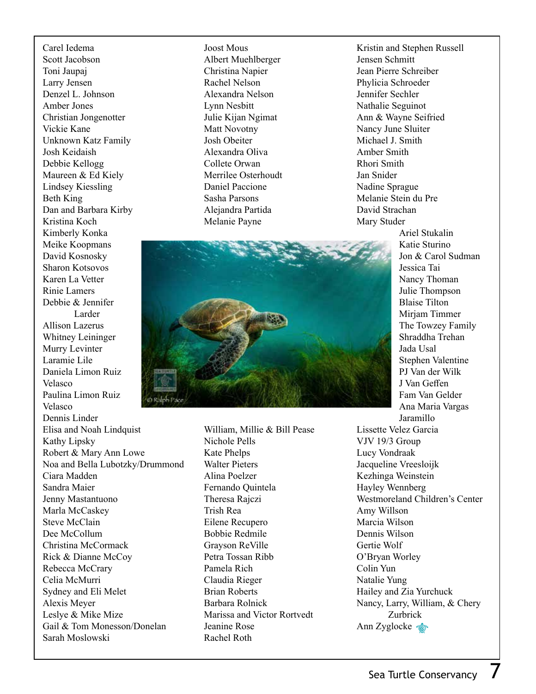Carel Iedema Scott Jacobson Toni Jaupaj Larry Jensen Denzel L. Johnson Amber Jones Christian Jongenotter Vickie Kane Unknown Katz Family Josh Keidaish Debbie Kellogg Maureen & Ed Kiely Lindsey Kiessling Beth King Dan and Barbara Kirby Kristina Koch Kimberly Konka Meike Koopmans David Kosnosky Sharon Kotsovos Karen La Vetter Rinie Lamers Debbie & Jennifer Larder Allison Lazerus Whitney Leininger Murry Levinter Laramie Lile Daniela Limon Ruiz Velasco Paulina Limon Ruiz Velasco Dennis Linder Elisa and Noah Lindquist Kathy Lipsky Robert & Mary Ann Lowe Noa and Bella Lubotzky/Drummond Ciara Madden Sandra Maier Jenny Mastantuono Marla McCaskey Steve McClain Dee McCollum Christina McCormack Rick & Dianne McCoy Rebecca McCrary Celia McMurri Sydney and Eli Melet Alexis Meyer Leslye & Mike Mize Gail & Tom Monesson/Donelan Sarah Moslowski

Joost Mous Albert Muehlberger Christina Napier Rachel Nelson Alexandra Nelson Lynn Nesbitt Julie Kijan Ngimat Matt Novotny Josh Obeiter Alexandra Oliva Collete Orwan Merrilee Osterhoudt Daniel Paccione Sasha Parsons Alejandra Partida Melanie Payne

Kristin and Stephen Russell Jensen Schmitt Jean Pierre Schreiber Phylicia Schroeder Jennifer Sechler Nathalie Seguinot Ann & Wayne Seifried Nancy June Sluiter Michael J. Smith Amber Smith Rhori Smith Jan Snider Nadine Sprague Melanie Stein du Pre David Strachan Mary Studer

Ariel Stukalin Katie Sturino Jon & Carol Sudman Jessica Tai Nancy Thoman Julie Thompson Blaise Tilton Mirjam Timmer The Towzey Family Shraddha Trehan Jada Usal Stephen Valentine PJ Van der Wilk J Van Geffen Fam Van Gelder Ana Maria Vargas

William, Millie & Bill Pease Nichole Pells Kate Phelps VJV 19/3 Group Lucy Vondraak

Walter Pieters Alina Poelzer Fernando Quintela Theresa Rajczi Trish Rea Eilene Recupero Bobbie Redmile Grayson ReVille Petra Tossan Ribb Pamela Rich Claudia Rieger Brian Roberts Barbara Rolnick Marissa and Victor Rortvedt Jeanine Rose Rachel Roth

Jaramillo Lissette Velez Garcia Jacqueline Vreesloijk Kezhinga Weinstein Hayley Wennberg Westmoreland Children's Center Amy Willson Marcia Wilson Dennis Wilson Gertie Wolf O'Bryan Worley Colin Yun Natalie Yung Hailey and Zia Yurchuck Nancy, Larry, William, & Chery Zurbrick Ann Zyglocke **to**